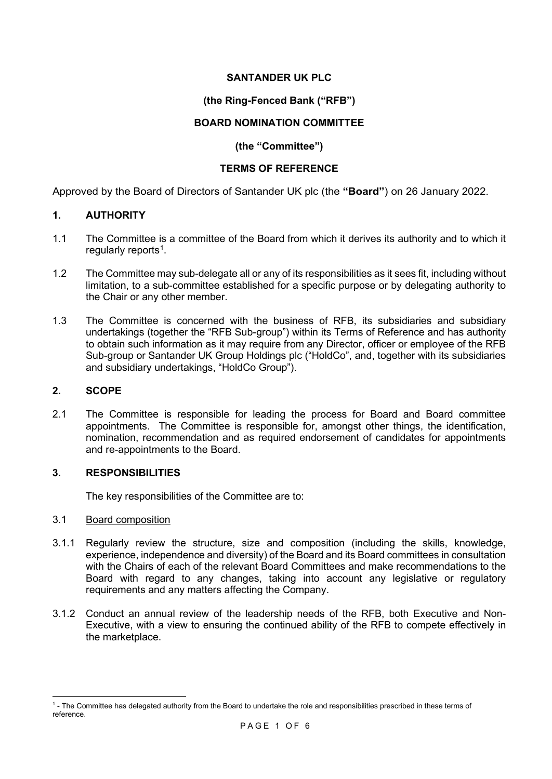## **SANTANDER UK PLC**

# **(the Ring-Fenced Bank ("RFB")**

## **BOARD NOMINATION COMMITTEE**

### **(the "Committee")**

## **TERMS OF REFERENCE**

Approved by the Board of Directors of Santander UK plc (the **"Board"**) on 26 January 2022.

### **1. AUTHORITY**

- 1.1 The Committee is a committee of the Board from which it derives its authority and to which it regularly reports<sup>[1](#page-0-0)</sup>.
- 1.2 The Committee may sub-delegate all or any of its responsibilities as it sees fit, including without limitation, to a sub-committee established for a specific purpose or by delegating authority to the Chair or any other member.
- 1.3 The Committee is concerned with the business of RFB, its subsidiaries and subsidiary undertakings (together the "RFB Sub-group") within its Terms of Reference and has authority to obtain such information as it may require from any Director, officer or employee of the RFB Sub-group or Santander UK Group Holdings plc ("HoldCo", and, together with its subsidiaries and subsidiary undertakings, "HoldCo Group").

## **2. SCOPE**

2.1 The Committee is responsible for leading the process for Board and Board committee appointments. The Committee is responsible for, amongst other things, the identification, nomination, recommendation and as required endorsement of candidates for appointments and re-appointments to the Board.

## **3. RESPONSIBILITIES**

The key responsibilities of the Committee are to:

### 3.1 Board composition

- 3.1.1 Regularly review the structure, size and composition (including the skills, knowledge, experience, independence and diversity) of the Board and its Board committees in consultation with the Chairs of each of the relevant Board Committees and make recommendations to the Board with regard to any changes, taking into account any legislative or regulatory requirements and any matters affecting the Company.
- 3.1.2 Conduct an annual review of the leadership needs of the RFB, both Executive and Non-Executive, with a view to ensuring the continued ability of the RFB to compete effectively in the marketplace.

<span id="page-0-0"></span><sup>1</sup> - The Committee has delegated authority from the Board to undertake the role and responsibilities prescribed in these terms of reference.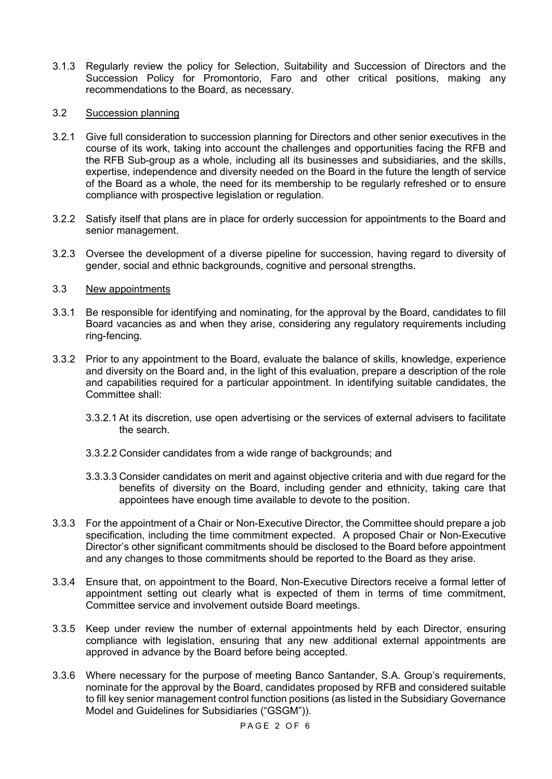3.1.3 Regularly review the policy for Selection, Suitability and Succession of Directors and the Succession Policy for Promontorio, Faro and other critical positions, making any recommendations to the Board, as necessary.

### 3.2 Succession planning

- 3.2.1 Give full consideration to succession planning for Directors and other senior executives in the course of its work, taking into account the challenges and opportunities facing the RFB and the RFB Sub-group as a whole, including all its businesses and subsidiaries, and the skills, expertise, independence and diversity needed on the Board in the future the length of service of the Board as a whole, the need for its membership to be regularly refreshed or to ensure compliance with prospective legislation or regulation.
- 3.2.2 Satisfy itself that plans are in place for orderly succession for appointments to the Board and senior management.
- 3.2.3 Oversee the development of a diverse pipeline for succession, having regard to diversity of gender, social and ethnic backgrounds, cognitive and personal strengths.

### 3.3 New appointments

- 3.3.1 Be responsible for identifying and nominating, for the approval by the Board, candidates to fill Board vacancies as and when they arise, considering any regulatory requirements including ring-fencing.
- 3.3.2 Prior to any appointment to the Board, evaluate the balance of skills, knowledge, experience and diversity on the Board and, in the light of this evaluation, prepare a description of the role and capabilities required for a particular appointment. In identifying suitable candidates, the Committee shall:
	- 3.3.2.1 At its discretion, use open advertising or the services of external advisers to facilitate the search.
	- 3.3.2.2 Consider candidates from a wide range of backgrounds; and
	- 3.3.3.3 Consider candidates on merit and against objective criteria and with due regard for the benefits of diversity on the Board, including gender and ethnicity, taking care that appointees have enough time available to devote to the position.
- 3.3.3 For the appointment of a Chair or Non-Executive Director, the Committee should prepare a job specification, including the time commitment expected. A proposed Chair or Non-Executive Director's other significant commitments should be disclosed to the Board before appointment and any changes to those commitments should be reported to the Board as they arise.
- 3.3.4 Ensure that, on appointment to the Board, Non-Executive Directors receive a formal letter of appointment setting out clearly what is expected of them in terms of time commitment, Committee service and involvement outside Board meetings.
- 3.3.5 Keep under review the number of external appointments held by each Director, ensuring compliance with legislation, ensuring that any new additional external appointments are approved in advance by the Board before being accepted.
- 3.3.6 Where necessary for the purpose of meeting Banco Santander, S.A. Group's requirements, nominate for the approval by the Board, candidates proposed by RFB and considered suitable to fill key senior management control function positions (as listed in the Subsidiary Governance Model and Guidelines for Subsidiaries ("GSGM")).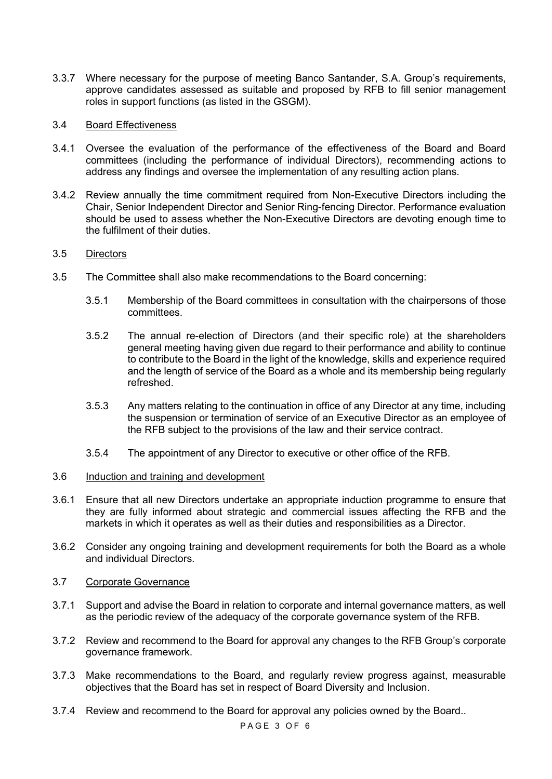3.3.7 Where necessary for the purpose of meeting Banco Santander, S.A. Group's requirements, approve candidates assessed as suitable and proposed by RFB to fill senior management roles in support functions (as listed in the GSGM).

### 3.4 Board Effectiveness

- 3.4.1 Oversee the evaluation of the performance of the effectiveness of the Board and Board committees (including the performance of individual Directors), recommending actions to address any findings and oversee the implementation of any resulting action plans.
- 3.4.2 Review annually the time commitment required from Non-Executive Directors including the Chair, Senior Independent Director and Senior Ring-fencing Director. Performance evaluation should be used to assess whether the Non-Executive Directors are devoting enough time to the fulfilment of their duties.

### 3.5 Directors

- 3.5 The Committee shall also make recommendations to the Board concerning:
	- 3.5.1 Membership of the Board committees in consultation with the chairpersons of those committees.
	- 3.5.2 The annual re-election of Directors (and their specific role) at the shareholders general meeting having given due regard to their performance and ability to continue to contribute to the Board in the light of the knowledge, skills and experience required and the length of service of the Board as a whole and its membership being regularly refreshed.
	- 3.5.3 Any matters relating to the continuation in office of any Director at any time, including the suspension or termination of service of an Executive Director as an employee of the RFB subject to the provisions of the law and their service contract.
	- 3.5.4 The appointment of any Director to executive or other office of the RFB.

### 3.6 Induction and training and development

- 3.6.1 Ensure that all new Directors undertake an appropriate induction programme to ensure that they are fully informed about strategic and commercial issues affecting the RFB and the markets in which it operates as well as their duties and responsibilities as a Director.
- 3.6.2 Consider any ongoing training and development requirements for both the Board as a whole and individual Directors.

#### 3.7 Corporate Governance

- 3.7.1 Support and advise the Board in relation to corporate and internal governance matters, as well as the periodic review of the adequacy of the corporate governance system of the RFB.
- 3.7.2 Review and recommend to the Board for approval any changes to the RFB Group's corporate governance framework.
- 3.7.3 Make recommendations to the Board, and regularly review progress against, measurable objectives that the Board has set in respect of Board Diversity and Inclusion.
- 3.7.4 Review and recommend to the Board for approval any policies owned by the Board..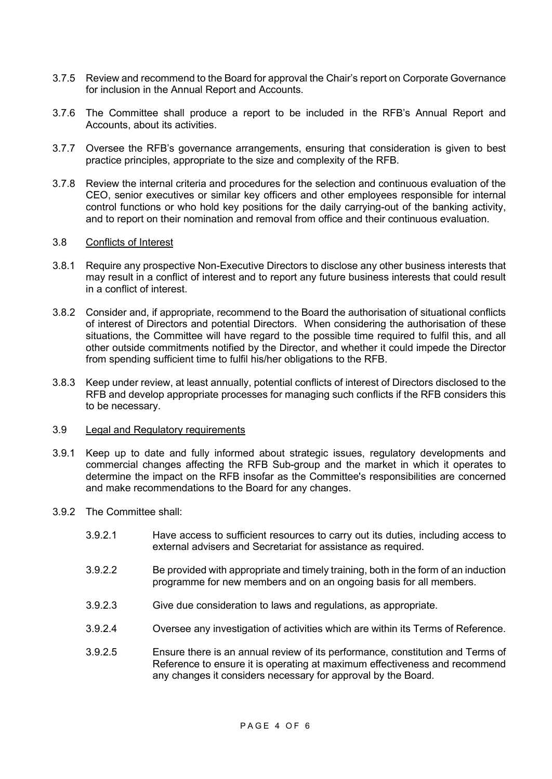- 3.7.5 Review and recommend to the Board for approval the Chair's report on Corporate Governance for inclusion in the Annual Report and Accounts.
- 3.7.6 The Committee shall produce a report to be included in the RFB's Annual Report and Accounts, about its activities.
- 3.7.7 Oversee the RFB's governance arrangements, ensuring that consideration is given to best practice principles, appropriate to the size and complexity of the RFB.
- 3.7.8 Review the internal criteria and procedures for the selection and continuous evaluation of the CEO, senior executives or similar key officers and other employees responsible for internal control functions or who hold key positions for the daily carrying-out of the banking activity, and to report on their nomination and removal from office and their continuous evaluation.

#### 3.8 Conflicts of Interest

- 3.8.1 Require any prospective Non-Executive Directors to disclose any other business interests that may result in a conflict of interest and to report any future business interests that could result in a conflict of interest.
- 3.8.2 Consider and, if appropriate, recommend to the Board the authorisation of situational conflicts of interest of Directors and potential Directors. When considering the authorisation of these situations, the Committee will have regard to the possible time required to fulfil this, and all other outside commitments notified by the Director, and whether it could impede the Director from spending sufficient time to fulfil his/her obligations to the RFB.
- 3.8.3 Keep under review, at least annually, potential conflicts of interest of Directors disclosed to the RFB and develop appropriate processes for managing such conflicts if the RFB considers this to be necessary.

#### 3.9 Legal and Regulatory requirements

- 3.9.1 Keep up to date and fully informed about strategic issues, regulatory developments and commercial changes affecting the RFB Sub-group and the market in which it operates to determine the impact on the RFB insofar as the Committee's responsibilities are concerned and make recommendations to the Board for any changes.
- 3.9.2 The Committee shall:
	- 3.9.2.1 Have access to sufficient resources to carry out its duties, including access to external advisers and Secretariat for assistance as required.
	- 3.9.2.2 Be provided with appropriate and timely training, both in the form of an induction programme for new members and on an ongoing basis for all members.
	- 3.9.2.3 Give due consideration to laws and regulations, as appropriate.
	- 3.9.2.4 Oversee any investigation of activities which are within its Terms of Reference.
	- 3.9.2.5 Ensure there is an annual review of its performance, constitution and Terms of Reference to ensure it is operating at maximum effectiveness and recommend any changes it considers necessary for approval by the Board.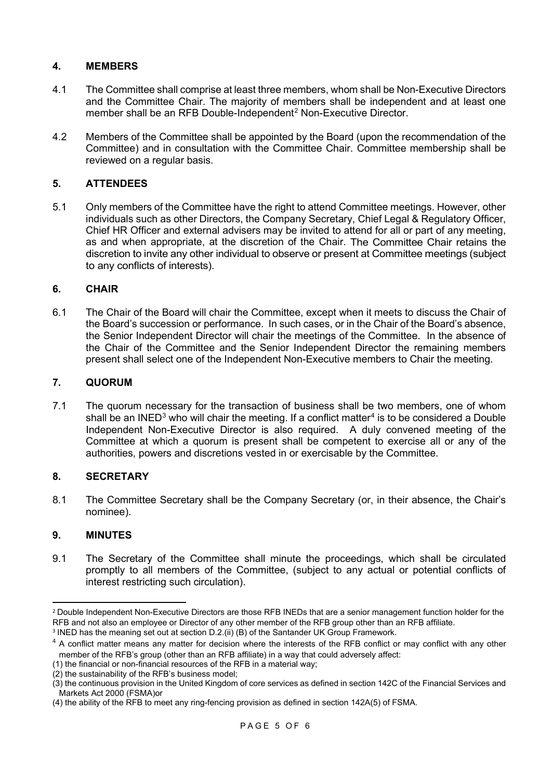## **4. MEMBERS**

- 4.1 The Committee shall comprise at least three members, whom shall be Non-Executive Directors and the Committee Chair. The majority of members shall be independent and at least one member shall be an RFB Double-Independent<sup>[2](#page-4-0)</sup> Non-Executive Director.
- 4.2 Members of the Committee shall be appointed by the Board (upon the recommendation of the Committee) and in consultation with the Committee Chair. Committee membership shall be reviewed on a regular basis.

## **5. ATTENDEES**

5.1 Only members of the Committee have the right to attend Committee meetings. However, other individuals such as other Directors, the Company Secretary, Chief Legal & Regulatory Officer, Chief HR Officer and external advisers may be invited to attend for all or part of any meeting, as and when appropriate, at the discretion of the Chair. The Committee Chair retains the discretion to invite any other individual to observe or present at Committee meetings (subject to any conflicts of interests).

### **6. CHAIR**

6.1 The Chair of the Board will chair the Committee, except when it meets to discuss the Chair of the Board's succession or performance. In such cases, or in the Chair of the Board's absence, the Senior Independent Director will chair the meetings of the Committee. In the absence of the Chair of the Committee and the Senior Independent Director the remaining members present shall select one of the Independent Non-Executive members to Chair the meeting.

## **7. QUORUM**

7.1 The quorum necessary for the transaction of business shall be two members, one of whom shall be an INED<sup>[3](#page-4-1)</sup> who will chair the meeting. If a conflict matter<sup>[4](#page-4-2)</sup> is to be considered a Double Independent Non-Executive Director is also required. A duly convened meeting of the Committee at which a quorum is present shall be competent to exercise all or any of the authorities, powers and discretions vested in or exercisable by the Committee.

## **8. SECRETARY**

8.1 The Committee Secretary shall be the Company Secretary (or, in their absence, the Chair's nominee).

### **9. MINUTES**

9.1 The Secretary of the Committee shall minute the proceedings, which shall be circulated promptly to all members of the Committee, (subject to any actual or potential conflicts of interest restricting such circulation).

<span id="page-4-0"></span><sup>&</sup>lt;sup>2</sup> Double Independent Non-Executive Directors are those RFB INEDs that are a senior management function holder for the RFB and not also an employee or Director of any other member of the RFB group other than an RFB affiliate.

<span id="page-4-1"></span><sup>&</sup>lt;sup>3</sup> INED has the meaning set out at section D.2.(ii) (B) of the Santander UK Group Framework.

<span id="page-4-2"></span><sup>&</sup>lt;sup>4</sup> A conflict matter means any matter for decision where the interests of the RFB conflict or may conflict with any other member of the RFB's group (other than an RFB affiliate) in a way that could adversely affect:

<sup>(1)</sup> the financial or non-financial resources of the RFB in a material way;

<sup>(2)</sup> the sustainability of the RFB's business model;

<sup>(3)</sup> the continuous provision in the United Kingdom of core services as defined in section 142C of the Financial Services and Markets Act 2000 (FSMA)or

<sup>(4)</sup> the ability of the RFB to meet any ring-fencing provision as defined in section 142A(5) of FSMA.